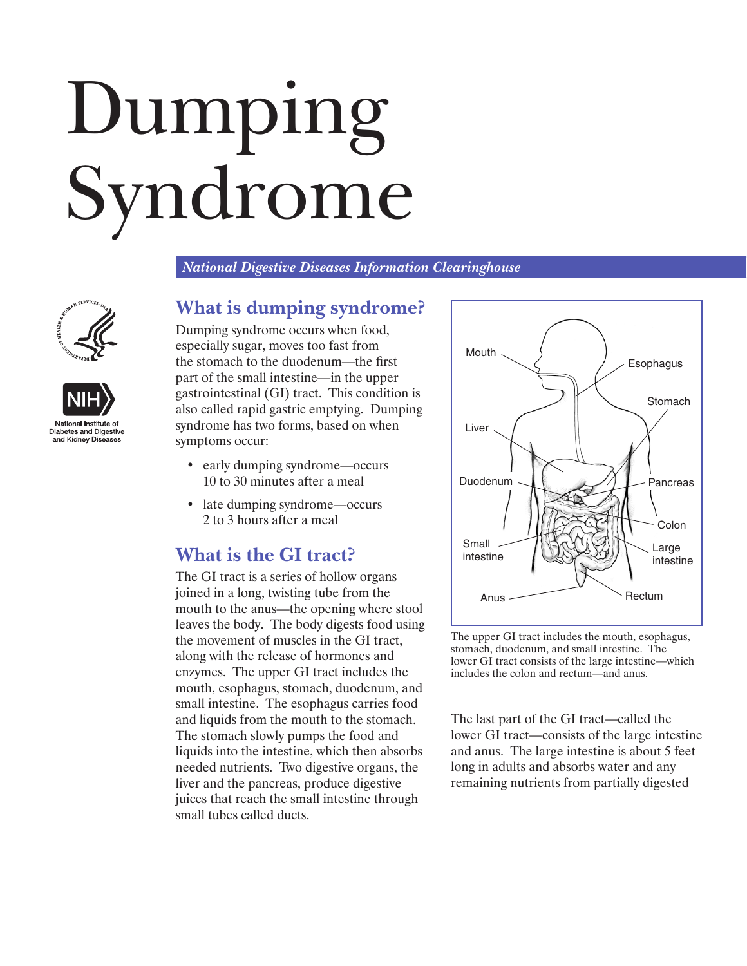# Dumping Syndrome

*National Digestive Diseases Information Clearinghouse* 





# **What is dumping syndrome?**

Dumping syndrome occurs when food, especially sugar, moves too fast from the stomach to the duodenum—the first part of the small intestine—in the upper gastrointestinal (GI) tract. This condition is also called rapid gastric emptying. Dumping syndrome has two forms, based on when symptoms occur:

- early dumping syndrome—occurs 10 to 30 minutes after a meal
- late dumping syndrome—occurs 2 to 3 hours after a meal

# **What is the GI tract?**

The GI tract is a series of hollow organs joined in a long, twisting tube from the mouth to the anus—the opening where stool leaves the body. The body digests food using the movement of muscles in the GI tract, along with the release of hormones and enzymes. The upper GI tract includes the mouth, esophagus, stomach, duodenum, and small intestine. The esophagus carries food and liquids from the mouth to the stomach. The stomach slowly pumps the food and liquids into the intestine, which then absorbs needed nutrients. Two digestive organs, the liver and the pancreas, produce digestive juices that reach the small intestine through small tubes called ducts.



 includes the colon and rectum—and anus. The upper GI tract includes the mouth, esophagus, stomach, duodenum, and small intestine. The lower GI tract consists of the large intestine—which

The last part of the GI tract—called the lower GI tract—consists of the large intestine and anus. The large intestine is about 5 feet long in adults and absorbs water and any remaining nutrients from partially digested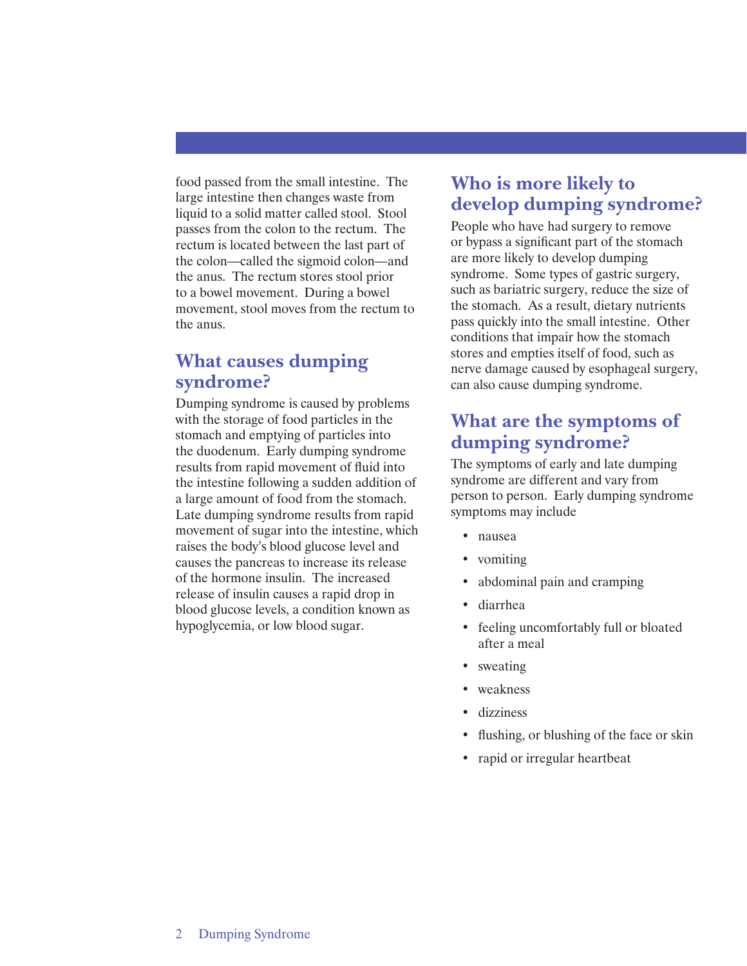food passed from the small intestine. The large intestine then changes waste from liquid to a solid matter called stool. Stool passes from the colon to the rectum. The rectum is located between the last part of the colon—called the sigmoid colon—and the anus. The rectum stores stool prior to a bowel movement. During a bowel movement, stool moves from the rectum to the anus.

# **What causes dumping syndrome?**

Dumping syndrome is caused by problems with the storage of food particles in the stomach and emptying of particles into the duodenum. Early dumping syndrome results from rapid movement of fluid into the intestine following a sudden addition of a large amount of food from the stomach. Late dumping syndrome results from rapid movement of sugar into the intestine, which raises the body's blood glucose level and causes the pancreas to increase its release of the hormone insulin. The increased release of insulin causes a rapid drop in blood glucose levels, a condition known as hypoglycemia, or low blood sugar.

# **Who is more likely to develop dumping syndrome?**

People who have had surgery to remove or bypass a significant part of the stomach are more likely to develop dumping syndrome. Some types of gastric surgery, such as bariatric surgery, reduce the size of the stomach. As a result, dietary nutrients pass quickly into the small intestine. Other conditions that impair how the stomach stores and empties itself of food, such as nerve damage caused by esophageal surgery, can also cause dumping syndrome.

# **What are the symptoms of dumping syndrome?**

The symptoms of early and late dumping syndrome are different and vary from person to person. Early dumping syndrome symptoms may include

- • nausea
- vomiting
- abdominal pain and cramping
- diarrhea
- feeling uncomfortably full or bloated after a meal
- sweating
- weakness
- • dizziness
- flushing, or blushing of the face or skin
- rapid or irregular heartbeat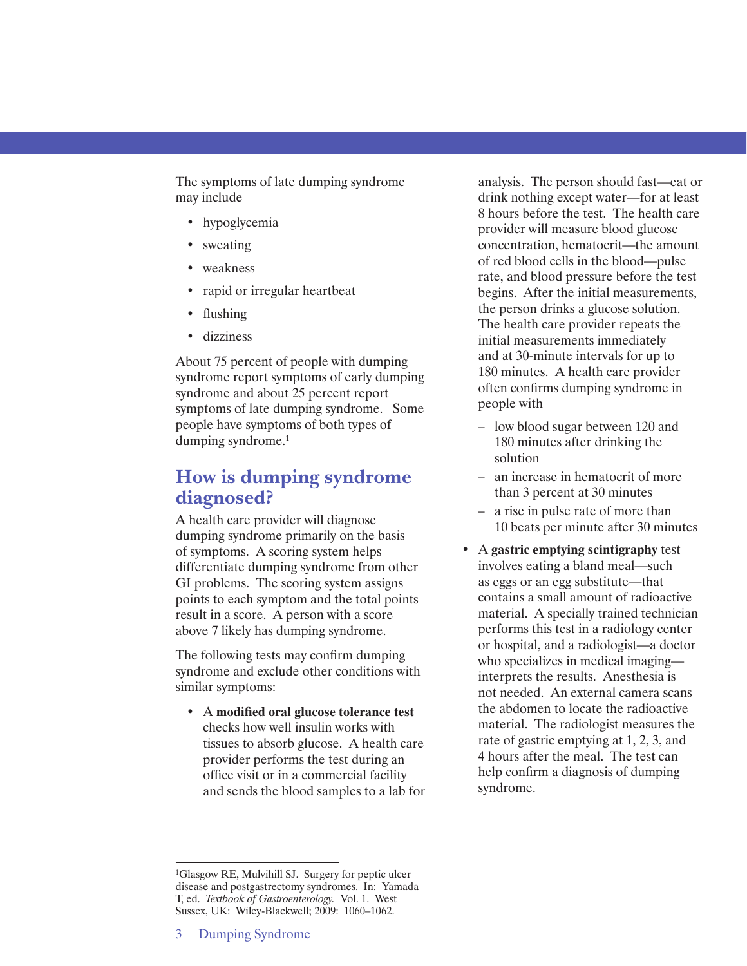The symptoms of late dumping syndrome may include

- hypoglycemia
- sweating
- weakness
- rapid or irregular heartbeat
- flushing
- dizziness

About 75 percent of people with dumping syndrome report symptoms of early dumping syndrome and about 25 percent report symptoms of late dumping syndrome. Some people have symptoms of both types of dumping syndrome.<sup>1</sup>

# **How is dumping syndrome diagnosed?**

A health care provider will diagnose dumping syndrome primarily on the basis of symptoms. A scoring system helps differentiate dumping syndrome from other GI problems. The scoring system assigns points to each symptom and the total points result in a score. A person with a score above 7 likely has dumping syndrome.

The following tests may confirm dumping syndrome and exclude other conditions with similar symptoms:

• A **modified oral glucose tolerance test**  checks how well insulin works with tissues to absorb glucose. A health care provider performs the test during an office visit or in a commercial facility and sends the blood samples to a lab for analysis. The person should fast—eat or drink nothing except water—for at least 8 hours before the test. The health care provider will measure blood glucose concentration, hematocrit—the amount of red blood cells in the blood—pulse rate, and blood pressure before the test begins. After the initial measurements, the person drinks a glucose solution. The health care provider repeats the initial measurements immediately and at 30-minute intervals for up to 180 minutes. A health care provider often confirms dumping syndrome in people with

- low blood sugar between 120 and 180 minutes after drinking the solution
- an increase in hematocrit of more than 3 percent at 30 minutes
- – a rise in pulse rate of more than 10 beats per minute after 30 minutes
- • A **gastric emptying scintigraphy** test involves eating a bland meal—such as eggs or an egg substitute—that contains a small amount of radioactive material. A specially trained technician performs this test in a radiology center or hospital, and a radiologist—a doctor who specializes in medical imaging interprets the results. Anesthesia is not needed. An external camera scans the abdomen to locate the radioactive material. The radiologist measures the rate of gastric emptying at 1, 2, 3, and 4 hours after the meal. The test can help confirm a diagnosis of dumping syndrome.

<sup>1</sup>Glasgow RE, Mulvihill SJ. Surgery for peptic ulcer disease and postgastrectomy syndromes. In: Yamada T, ed. *Textbook of Gastroenterology.* Vol. 1. West Sussex, UK: Wiley-Blackwell; 2009: 1060–1062.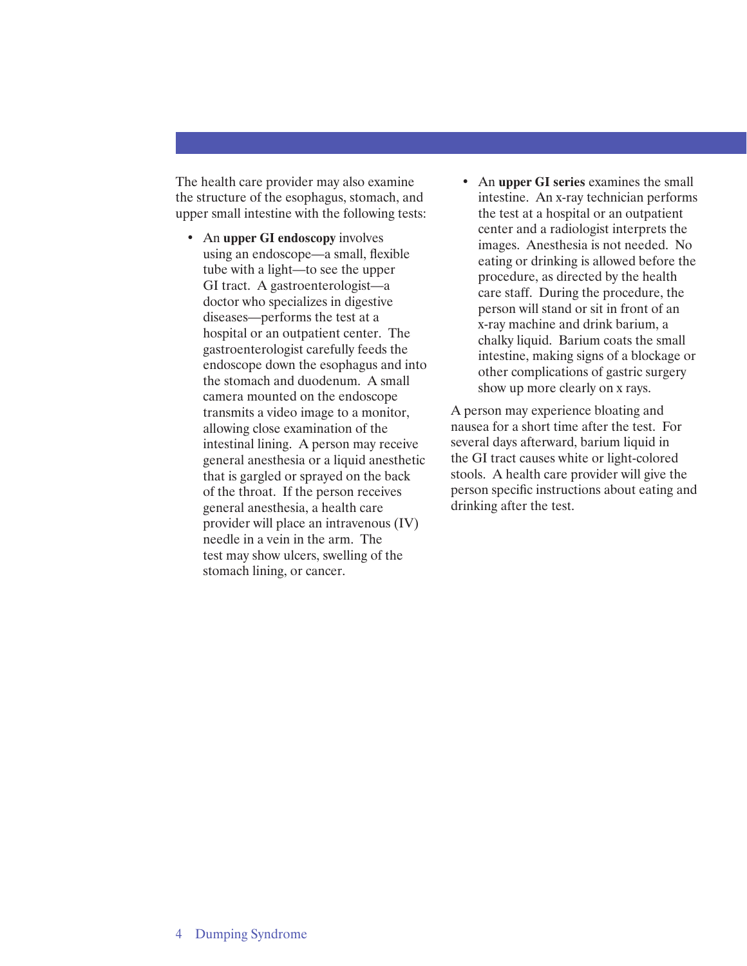The health care provider may also examine the structure of the esophagus, stomach, and upper small intestine with the following tests:

- An **upper GI endoscopy** involves using an endoscope—a small, flexible tube with a light—to see the upper GI tract. A gastroenterologist—a doctor who specializes in digestive diseases—performs the test at a hospital or an outpatient center. The gastroenterologist carefully feeds the endoscope down the esophagus and into the stomach and duodenum. A small camera mounted on the endoscope transmits a video image to a monitor, allowing close examination of the intestinal lining. A person may receive general anesthesia or a liquid anesthetic that is gargled or sprayed on the back of the throat. If the person receives general anesthesia, a health care provider will place an intravenous (IV) needle in a vein in the arm. The test may show ulcers, swelling of the stomach lining, or cancer.
- An **upper GI series** examines the small intestine. An x-ray technician performs the test at a hospital or an outpatient center and a radiologist interprets the images. Anesthesia is not needed. No eating or drinking is allowed before the procedure, as directed by the health care staff. During the procedure, the person will stand or sit in front of an x-ray machine and drink barium, a chalky liquid. Barium coats the small intestine, making signs of a blockage or other complications of gastric surgery show up more clearly on x rays.

A person may experience bloating and nausea for a short time after the test. For several days afterward, barium liquid in the GI tract causes white or light-colored stools. A health care provider will give the person specific instructions about eating and drinking after the test.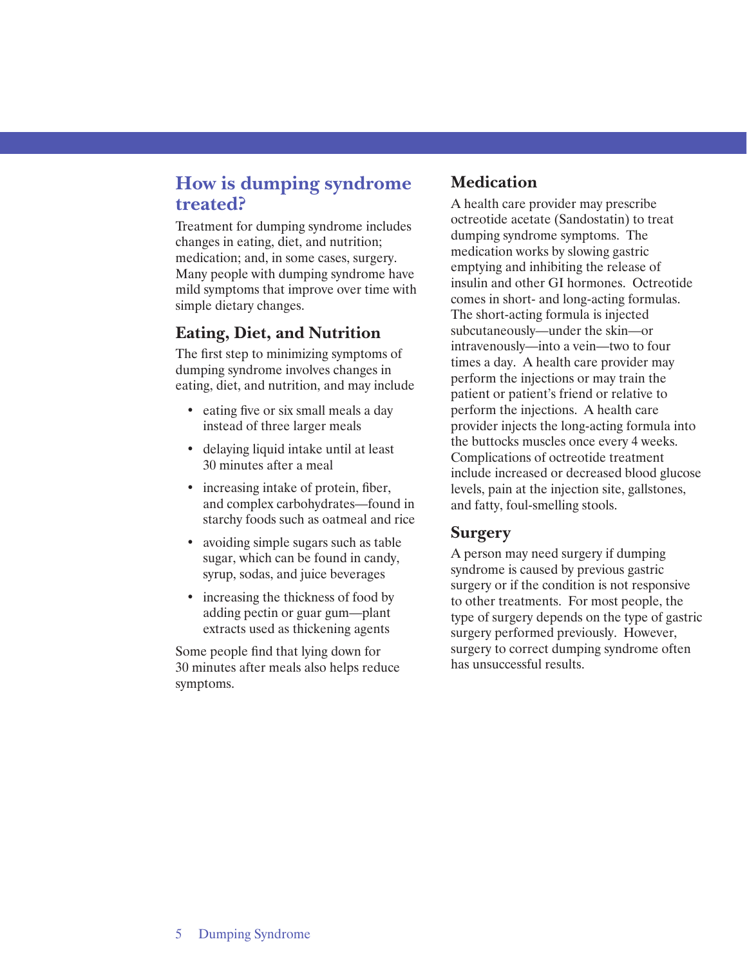# **How is dumping syndrome treated?**

Treatment for dumping syndrome includes changes in eating, diet, and nutrition; medication; and, in some cases, surgery. Many people with dumping syndrome have mild symptoms that improve over time with simple dietary changes.

## **Eating, Diet, and Nutrition**

The first step to minimizing symptoms of dumping syndrome involves changes in eating, diet, and nutrition, and may include

- eating five or six small meals a day instead of three larger meals
- • delaying liquid intake until at least 30 minutes after a meal
- increasing intake of protein, fiber, and complex carbohydrates—found in starchy foods such as oatmeal and rice
- avoiding simple sugars such as table sugar, which can be found in candy, syrup, sodas, and juice beverages
- increasing the thickness of food by adding pectin or guar gum—plant extracts used as thickening agents

Some people find that lying down for 30 minutes after meals also helps reduce symptoms.

## **Medication**

A health care provider may prescribe octreotide acetate (Sandostatin) to treat dumping syndrome symptoms. The medication works by slowing gastric emptying and inhibiting the release of insulin and other GI hormones. Octreotide comes in short- and long-acting formulas. The short-acting formula is injected subcutaneously—under the skin—or intravenously—into a vein—two to four times a day. A health care provider may perform the injections or may train the patient or patient's friend or relative to perform the injections. A health care provider injects the long-acting formula into the buttocks muscles once every 4 weeks. Complications of octreotide treatment include increased or decreased blood glucose levels, pain at the injection site, gallstones, and fatty, foul-smelling stools.

## **Surgery**

A person may need surgery if dumping syndrome is caused by previous gastric surgery or if the condition is not responsive to other treatments. For most people, the type of surgery depends on the type of gastric surgery performed previously. However, surgery to correct dumping syndrome often has unsuccessful results.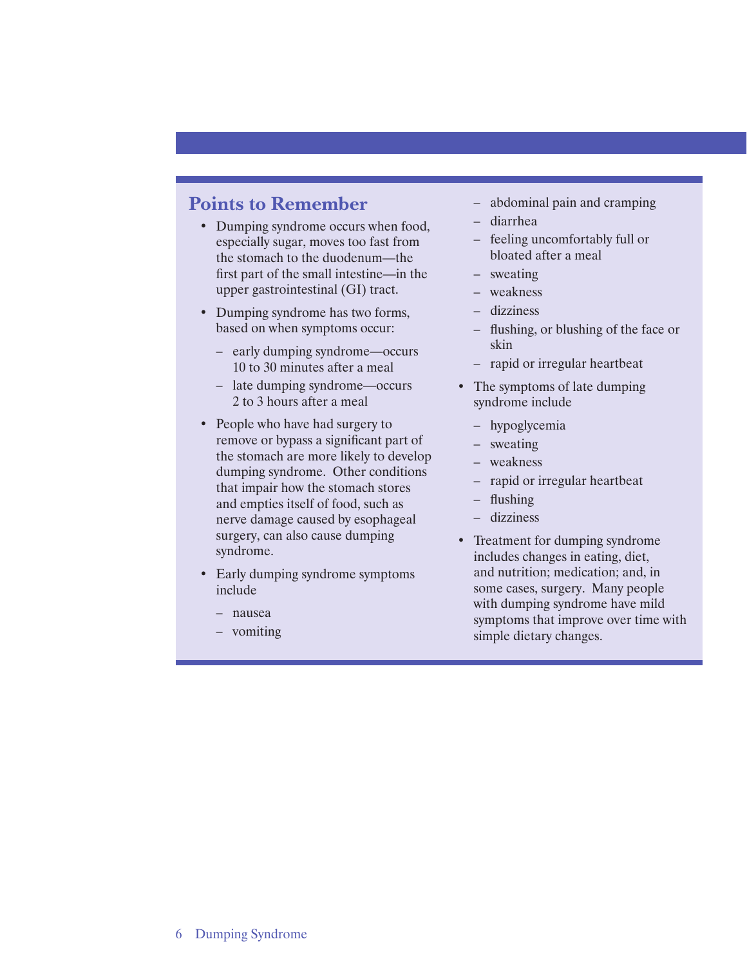## **Points to Remember**

- Dumping syndrome occurs when food, especially sugar, moves too fast from the stomach to the duodenum—the first part of the small intestine—in the upper gastrointestinal (GI) tract.
- Dumping syndrome has two forms, based on when symptoms occur:
	- – early dumping syndrome—occurs 10 to 30 minutes after a meal
	- – late dumping syndrome—occurs 2 to 3 hours after a meal
- People who have had surgery to remove or bypass a significant part of the stomach are more likely to develop dumping syndrome. Other conditions that impair how the stomach stores and empties itself of food, such as nerve damage caused by esophageal surgery, can also cause dumping syndrome.
- Early dumping syndrome symptoms include
	- – nausea
	- – vomiting
- – abdominal pain and cramping
- – diarrhea
- – feeling uncomfortably full or bloated after a meal
- – sweating
- – weakness
- – dizziness
- flushing, or blushing of the face or skin
- – rapid or irregular heartbeat
- The symptoms of late dumping syndrome include
	- – hypoglycemia
	- – sweating
	- – weakness
	- – rapid or irregular heartbeat
	- – flushing
	- – dizziness
- Treatment for dumping syndrome includes changes in eating, diet, and nutrition; medication; and, in some cases, surgery. Many people with dumping syndrome have mild symptoms that improve over time with simple dietary changes.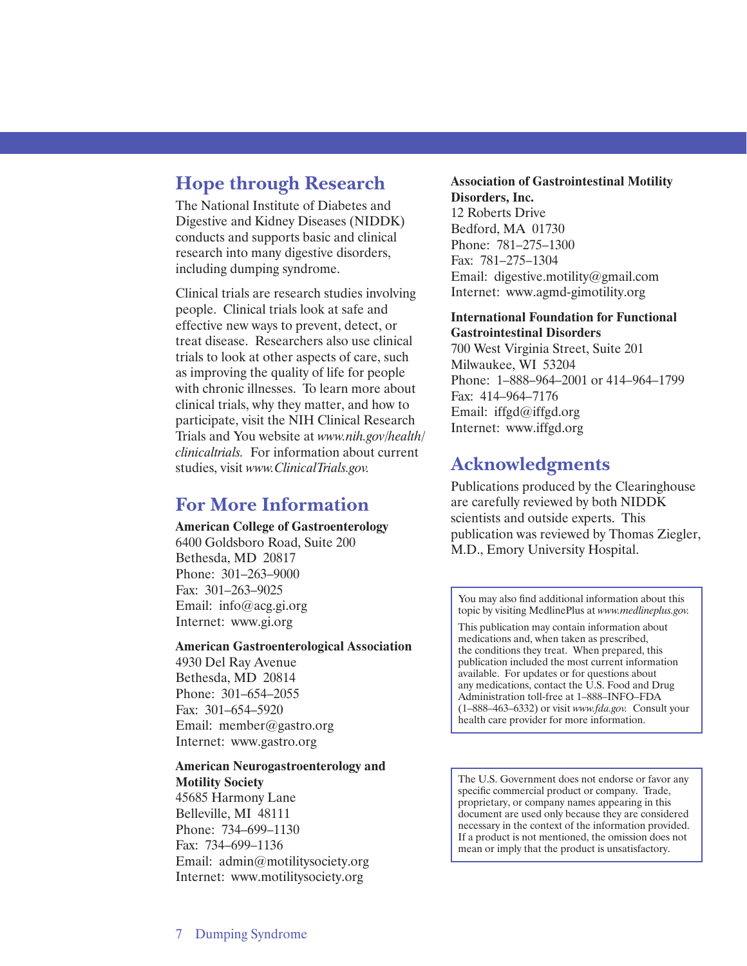# **Hope through Research**

The National Institute of Diabetes and Digestive and Kidney Diseases (NIDDK) conducts and supports basic and clinical research into many digestive disorders, including dumping syndrome.

Clinical trials are research studies involving people. Clinical trials look at safe and effective new ways to prevent, detect, or treat disease. Researchers also use clinical trials to look at other aspects of care, such as improving the quality of life for people with chronic illnesses. To learn more about clinical trials, why they matter, and how to participate, visit the NIH Clinical Research Trials and You website at *www.nih.gov/health/ clinicaltrials.* For information about current studies, visit *www.ClinicalTrials.gov.* 

# **For More Information**

### **American College of Gastroenterology**

6400 Goldsboro Road, Suite 200 Bethesda, MD 20817 Phone: 301–263–9000 Fax: 301–263–9025 Email: info@acg.gi.org Internet: www.gi.org

### **American Gastroenterological Association**

4930 Del Ray Avenue Bethesda, MD 20814 Phone: 301–654–2055 Fax: 301–654–5920 Email: member@gastro.org Internet: www.gastro.org

#### **American Neurogastroenterology and Motility Society**

45685 Harmony Lane Belleville, MI 48111 Phone: 734–699–1130 Fax: 734–699–1136 Email: admin@motilitysociety.org Internet: www.motilitysociety.org

#### **Association of Gastrointestinal Motility Disorders, Inc.**

12 Roberts Drive Bedford, MA 01730 Phone: 781–275–1300 Fax: 781–275–1304 Email: digestive.motility@gmail.com Internet: www.agmd-gimotility.org

#### **International Foundation for Functional Gastrointestinal Disorders**

700 West Virginia Street, Suite 201 Milwaukee, WI 53204 Phone: 1–888–964–2001 or 414–964–1799 Fax: 414–964–7176 Email: iffgd@iffgd.org Internet: www.iffgd.org

# **Acknowledgments**

Publications produced by the Clearinghouse are carefully reviewed by both NIDDK scientists and outside experts. This publication was reviewed by Thomas Ziegler, M.D., Emory University Hospital.

You may also find additional information about this topic by visiting MedlinePlus at *www.medlineplus.gov.* 

This publication may contain information about medications and, when taken as prescribed, the conditions they treat. When prepared, this publication included the most current information available. For updates or for questions about any medications, contact the U.S. Food and Drug Administration toll-free at 1–888–INFO–FDA (1–888–463–6332) or visit *www.fda.gov.* Consult your health care provider for more information.

necessary in the context of the information provided. The U.S. Government does not endorse or favor any specific commercial product or company. Trade, proprietary, or company names appearing in this document are used only because they are considered If a product is not mentioned, the omission does not mean or imply that the product is unsatisfactory.